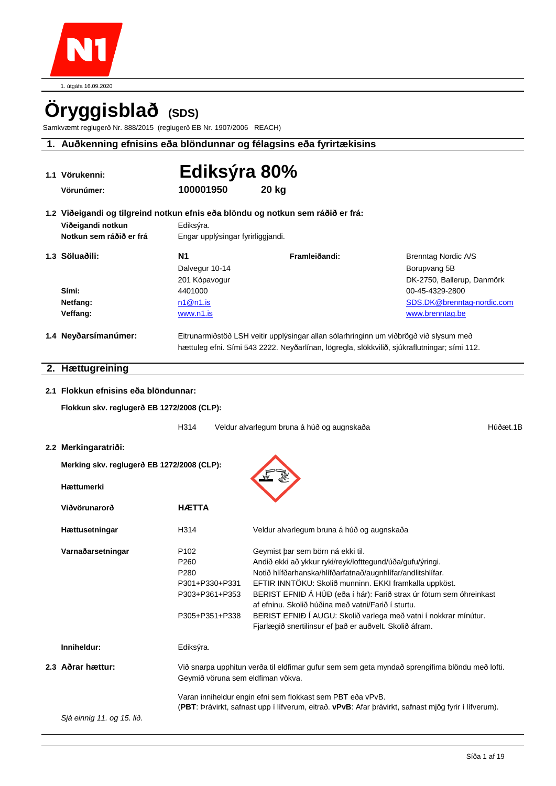

1. útgáfa 16.09.2020

# **Öryggisblað (SDS)**

Samkvæmt reglugerð Nr. 888/2015 (reglugerð EB Nr. 1907/2006 REACH)

### **1. Auðkenning efnisins eða blöndunnar og félagsins eða fyrirtækisins**

| 1.1 Vörukenni:                                                                                                                  | Ediksýra 80%                                                               |                                                                                                                                                                                                                                                                                                                                                                                                                                                                                     |                                                                                                |
|---------------------------------------------------------------------------------------------------------------------------------|----------------------------------------------------------------------------|-------------------------------------------------------------------------------------------------------------------------------------------------------------------------------------------------------------------------------------------------------------------------------------------------------------------------------------------------------------------------------------------------------------------------------------------------------------------------------------|------------------------------------------------------------------------------------------------|
| Vörunúmer:                                                                                                                      | 100001950                                                                  | <b>20 kg</b>                                                                                                                                                                                                                                                                                                                                                                                                                                                                        |                                                                                                |
| 1.2 Viðeigandi og tilgreind notkun efnis eða blöndu og notkun sem ráðið er frá:<br>Viðeigandi notkun<br>Notkun sem ráðið er frá | Ediksýra.<br>Engar upplýsingar fyrirliggjandi.                             |                                                                                                                                                                                                                                                                                                                                                                                                                                                                                     |                                                                                                |
| 1.3 Söluaðili:                                                                                                                  | N <sub>1</sub><br>Dalvegur 10-14<br>201 Kópavogur                          | Framleiðandi:                                                                                                                                                                                                                                                                                                                                                                                                                                                                       | <b>Brenntag Nordic A/S</b><br>Borupvang 5B<br>DK-2750, Ballerup, Danmörk                       |
| Sími:<br>Netfang:                                                                                                               | 4401000<br>n1@n1.is                                                        |                                                                                                                                                                                                                                                                                                                                                                                                                                                                                     | 00-45-4329-2800<br>SDS.DK@brenntag-nordic.com                                                  |
| Veffang:                                                                                                                        | www.n1.is                                                                  |                                                                                                                                                                                                                                                                                                                                                                                                                                                                                     | www.brenntag.be                                                                                |
| 1.4 Neyðarsímanúmer:                                                                                                            |                                                                            | Eitrunarmiðstöð LSH veitir upplýsingar allan sólarhringinn um viðbrögð við slysum með<br>hættuleg efni. Sími 543 2222. Neyðarlínan, lögregla, slökkvilið, sjúkraflutningar; sími 112.                                                                                                                                                                                                                                                                                               |                                                                                                |
| 2. Hættugreining                                                                                                                |                                                                            |                                                                                                                                                                                                                                                                                                                                                                                                                                                                                     |                                                                                                |
| 2.1 Flokkun efnisins eða blöndunnar:                                                                                            |                                                                            |                                                                                                                                                                                                                                                                                                                                                                                                                                                                                     |                                                                                                |
| Flokkun skv. reglugerð EB 1272/2008 (CLP):                                                                                      |                                                                            |                                                                                                                                                                                                                                                                                                                                                                                                                                                                                     |                                                                                                |
|                                                                                                                                 | H314                                                                       | Veldur alvarlegum bruna á húð og augnskaða                                                                                                                                                                                                                                                                                                                                                                                                                                          | Húðæt.1B                                                                                       |
| 2.2 Merkingaratriði:                                                                                                            |                                                                            |                                                                                                                                                                                                                                                                                                                                                                                                                                                                                     |                                                                                                |
| Merking skv. reglugerð EB 1272/2008 (CLP):                                                                                      |                                                                            |                                                                                                                                                                                                                                                                                                                                                                                                                                                                                     |                                                                                                |
| Hættumerki                                                                                                                      |                                                                            |                                                                                                                                                                                                                                                                                                                                                                                                                                                                                     |                                                                                                |
| Viðvörunarorð                                                                                                                   | <b>HÆTTA</b>                                                               |                                                                                                                                                                                                                                                                                                                                                                                                                                                                                     |                                                                                                |
| Hættusetningar                                                                                                                  | H314                                                                       | Veldur alvarlegum bruna á húð og augnskaða                                                                                                                                                                                                                                                                                                                                                                                                                                          |                                                                                                |
| Varnaðarsetningar                                                                                                               | P102<br>P260<br>P280<br>P301+P330+P331<br>P303+P361+P353<br>P305+P351+P338 | Geymist þar sem börn ná ekki til.<br>Andið ekki að ykkur ryki/reyk/lofttegund/úða/gufu/ýringi.<br>Notið hlífðarhanska/hlífðarfatnað/augnhlífar/andlitshlífar.<br>EFTIR INNTÖKU: Skolið munninn. EKKI framkalla uppköst.<br>BERIST EFNIÐ Á HÚÐ (eða í hár): Farið strax úr fötum sem óhreinkast<br>af efninu. Skolið húðina með vatni/Farið í sturtu.<br>BERIST EFNIÐ Í AUGU: Skolið varlega með vatni í nokkrar mínútur.<br>Fjarlægið snertilinsur ef það er auðvelt. Skolið áfram. |                                                                                                |
| Inniheldur:                                                                                                                     | Ediksýra.                                                                  |                                                                                                                                                                                                                                                                                                                                                                                                                                                                                     |                                                                                                |
| 2.3 Aðrar hættur:                                                                                                               | Geymið vöruna sem eldfiman vökva.                                          |                                                                                                                                                                                                                                                                                                                                                                                                                                                                                     | Við snarpa upphitun verða til eldfimar gufur sem sem geta myndað sprengifima blöndu með lofti. |
|                                                                                                                                 |                                                                            | Varan inniheldur engin efni sem flokkast sem PBT eða vPvB.<br>(PBT: Þrávirkt, safnast upp í lífverum, eitrað. vPvB: Afar þrávirkt, safnast mjög fyrir í lífverum).                                                                                                                                                                                                                                                                                                                  |                                                                                                |
| Sjá einnig 11. og 15. lið.                                                                                                      |                                                                            |                                                                                                                                                                                                                                                                                                                                                                                                                                                                                     |                                                                                                |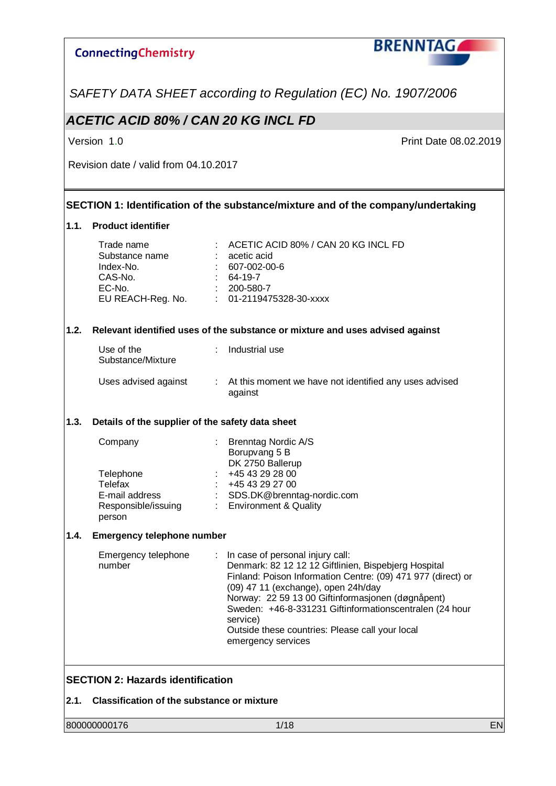

*SAFETY DATA SHEET according to Regulation (EC) No. 1907/2006*

### *ACETIC ACID 80% / CAN 20 KG INCL FD*

Version 1.0 **Print Date 08.02.2019** 

Revision date / valid from 04.10.2017

#### **SECTION 1: Identification of the substance/mixture and of the company/undertaking**

#### **1.1. Product identifier**

|      | Trade name<br>Substance name<br>Index-No.<br>CAS-No.<br>EC-No.<br>EU REACH-Reg. No. |                           | ACETIC ACID 80% / CAN 20 KG INCL FD<br>acetic acid<br>607-002-00-6<br>64-19-7<br>200-580-7<br>01-2119475328-30-xxxx                                                                                                                                                                                                                                                                                  |
|------|-------------------------------------------------------------------------------------|---------------------------|------------------------------------------------------------------------------------------------------------------------------------------------------------------------------------------------------------------------------------------------------------------------------------------------------------------------------------------------------------------------------------------------------|
| 1.2. |                                                                                     |                           | Relevant identified uses of the substance or mixture and uses advised against                                                                                                                                                                                                                                                                                                                        |
|      | Use of the<br>Substance/Mixture                                                     |                           | Industrial use                                                                                                                                                                                                                                                                                                                                                                                       |
|      | Uses advised against                                                                | $\mathbb{Z}^{\mathbb{Z}}$ | At this moment we have not identified any uses advised<br>against                                                                                                                                                                                                                                                                                                                                    |
| 1.3. | Details of the supplier of the safety data sheet                                    |                           |                                                                                                                                                                                                                                                                                                                                                                                                      |
|      | Company<br>Telephone<br>Telefax<br>E-mail address<br>Responsible/issuing<br>person  |                           | <b>Brenntag Nordic A/S</b><br>Borupvang 5 B<br>DK 2750 Ballerup<br>+45 43 29 28 00<br>+45 43 29 27 00<br>SDS.DK@brenntag-nordic.com<br><b>Environment &amp; Quality</b>                                                                                                                                                                                                                              |
| 1.4. | <b>Emergency telephone number</b>                                                   |                           |                                                                                                                                                                                                                                                                                                                                                                                                      |
|      | Emergency telephone<br>number                                                       |                           | In case of personal injury call:<br>Denmark: 82 12 12 12 Giftlinien, Bispebjerg Hospital<br>Finland: Poison Information Centre: (09) 471 977 (direct) or<br>(09) 47 11 (exchange), open 24h/day<br>Norway: 22 59 13 00 Giftinformasjonen (døgnåpent)<br>Sweden: +46-8-331231 Giftinformationscentralen (24 hour<br>service)<br>Outside these countries: Please call your local<br>emergency services |
|      | <b>SECTION 2: Hazards identification</b>                                            |                           |                                                                                                                                                                                                                                                                                                                                                                                                      |
| 2.1. | <b>Classification of the substance or mixture</b>                                   |                           |                                                                                                                                                                                                                                                                                                                                                                                                      |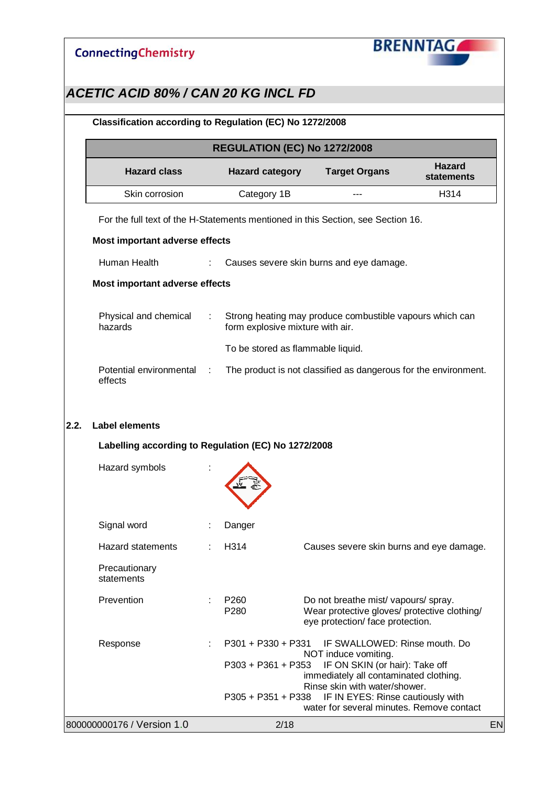

|                                                                                  |   |                                   | <b>REGULATION (EC) No 1272/2008</b>                                                                                               |                                    |
|----------------------------------------------------------------------------------|---|-----------------------------------|-----------------------------------------------------------------------------------------------------------------------------------|------------------------------------|
| <b>Hazard class</b>                                                              |   | <b>Hazard category</b>            | <b>Target Organs</b>                                                                                                              | <b>Hazard</b><br><b>statements</b> |
| Skin corrosion                                                                   |   | Category 1B                       |                                                                                                                                   | H314                               |
| For the full text of the H-Statements mentioned in this Section, see Section 16. |   |                                   |                                                                                                                                   |                                    |
| Most important adverse effects                                                   |   |                                   |                                                                                                                                   |                                    |
| Human Health                                                                     |   |                                   | Causes severe skin burns and eye damage.                                                                                          |                                    |
| Most important adverse effects                                                   |   |                                   |                                                                                                                                   |                                    |
| Physical and chemical<br>hazards                                                 |   | form explosive mixture with air.  | Strong heating may produce combustible vapours which can                                                                          |                                    |
|                                                                                  |   | To be stored as flammable liquid. |                                                                                                                                   |                                    |
| Potential environmental<br>effects                                               | ÷ |                                   | The product is not classified as dangerous for the environment.                                                                   |                                    |
| <b>Label elements</b><br>Labelling according to Regulation (EC) No 1272/2008     |   |                                   |                                                                                                                                   |                                    |
| Hazard symbols                                                                   |   |                                   |                                                                                                                                   |                                    |
|                                                                                  |   |                                   |                                                                                                                                   |                                    |
| Signal word<br><b>Hazard statements</b>                                          |   | Danger<br>H <sub>3</sub> 14       | Causes severe skin burns and eye damage.                                                                                          |                                    |
| Precautionary<br>statements                                                      |   |                                   |                                                                                                                                   |                                    |
| Prevention                                                                       |   | P <sub>260</sub><br>P280          | Do not breathe mist/ vapours/ spray.<br>Wear protective gloves/ protective clothing/<br>eye protection/ face protection.          |                                    |
| Response                                                                         |   | P301 + P330 + P331                | IF SWALLOWED: Rinse mouth. Do                                                                                                     |                                    |
|                                                                                  |   | $P303 + P361 + P353$              | NOT induce vomiting.<br>IF ON SKIN (or hair): Take off<br>immediately all contaminated clothing.<br>Rinse skin with water/shower. |                                    |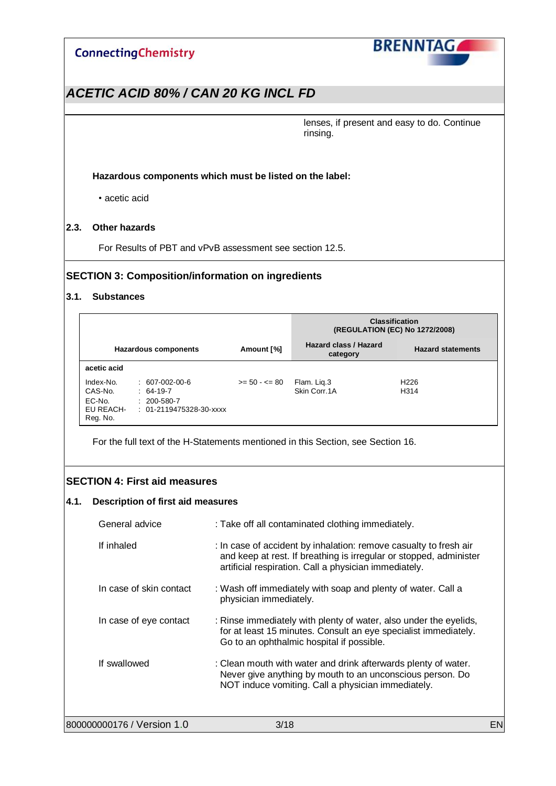

### *ACETIC ACID 80% / CAN 20 KG INCL FD*

lenses, if present and easy to do. Continue rinsing.

#### **Hazardous components which must be listed on the label:**

• acetic acid

#### **2.3. Other hazards**

For Results of PBT and vPvB assessment see section 12.5.

#### **SECTION 3: Composition/information on ingredients**

#### **3.1. Substances**

|                                                         |                                                                                   |                  | <b>Classification</b><br>(REGULATION (EC) No 1272/2008) |                          |  |
|---------------------------------------------------------|-----------------------------------------------------------------------------------|------------------|---------------------------------------------------------|--------------------------|--|
|                                                         | Hazardous components                                                              | Amount [%]       | Hazard class / Hazard<br>category                       | <b>Hazard statements</b> |  |
| acetic acid                                             |                                                                                   |                  |                                                         |                          |  |
| Index-No.<br>CAS-No.<br>EC-No.<br>EU REACH-<br>Reg. No. | $: 607-002-00-6$<br>$: 64-19-7$<br>$: 200 - 580 - 7$<br>$: 01-2119475328-30-xxxx$ | $>= 50 - 5 = 80$ | Flam. Lig.3<br>Skin Corr. 1A                            | H <sub>226</sub><br>H314 |  |

For the full text of the H-Statements mentioned in this Section, see Section 16.

#### **SECTION 4: First aid measures**

#### **4.1. Description of first aid measures**

| General advice             | : Take off all contaminated clothing immediately.                                                                                                                                                |    |
|----------------------------|--------------------------------------------------------------------------------------------------------------------------------------------------------------------------------------------------|----|
| If inhaled                 | : In case of accident by inhalation: remove casualty to fresh air<br>and keep at rest. If breathing is irregular or stopped, administer<br>artificial respiration. Call a physician immediately. |    |
| In case of skin contact    | : Wash off immediately with soap and plenty of water. Call a<br>physician immediately.                                                                                                           |    |
| In case of eye contact     | : Rinse immediately with plenty of water, also under the eyelids,<br>for at least 15 minutes. Consult an eye specialist immediately.<br>Go to an ophthalmic hospital if possible.                |    |
| If swallowed               | : Clean mouth with water and drink afterwards plenty of water.<br>Never give anything by mouth to an unconscious person. Do<br>NOT induce vomiting. Call a physician immediately.                |    |
| 800000000176 / Version 1.0 | 3/18                                                                                                                                                                                             | EN |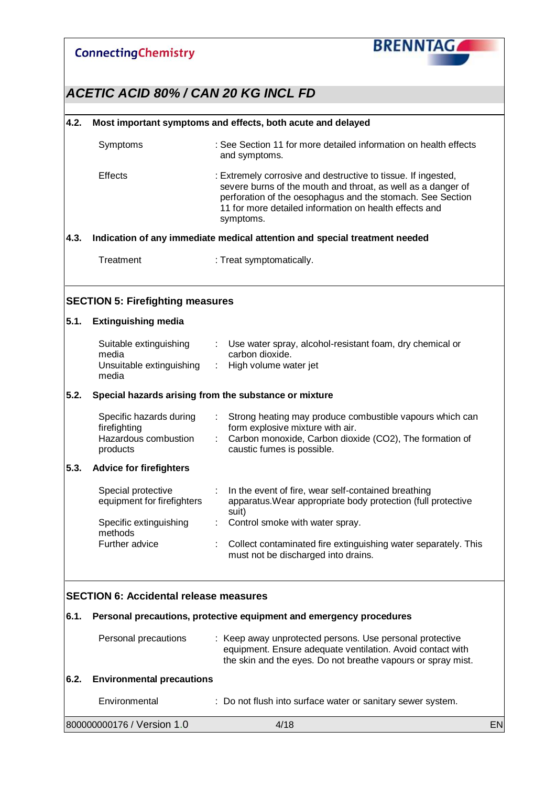

## *ACETIC ACID 80% / CAN 20 KG INCL FD*

#### **4.2. Most important symptoms and effects, both acute and delayed**

| Symptoms       | : See Section 11 for more detailed information on health effects<br>and symptoms.                                                                                                                                                                                  |
|----------------|--------------------------------------------------------------------------------------------------------------------------------------------------------------------------------------------------------------------------------------------------------------------|
| <b>Effects</b> | : Extremely corrosive and destructive to tissue. If ingested,<br>severe burns of the mouth and throat, as well as a danger of<br>perforation of the oesophagus and the stomach. See Section<br>11 for more detailed information on health effects and<br>symptoms. |
|                | Indication of any immediate medical attention and special treatment needed                                                                                                                                                                                         |

### **4.3. Indication of any immediate medical attention and special treatment needed**

Treatment : Treat symptomatically.

#### **SECTION 5: Firefighting measures**

| 5.1. | <b>Extinguishing media</b>                                                  |   |                                                                                                                                                                                       |
|------|-----------------------------------------------------------------------------|---|---------------------------------------------------------------------------------------------------------------------------------------------------------------------------------------|
|      | Suitable extinguishing<br>media                                             | ÷ | Use water spray, alcohol-resistant foam, dry chemical or<br>carbon dioxide.                                                                                                           |
|      | Unsuitable extinguishing<br>media                                           | ÷ | High volume water jet                                                                                                                                                                 |
| 5.2. | Special hazards arising from the substance or mixture                       |   |                                                                                                                                                                                       |
|      | Specific hazards during<br>firefighting<br>Hazardous combustion<br>products | ÷ | Strong heating may produce combustible vapours which can<br>form explosive mixture with air.<br>Carbon monoxide, Carbon dioxide (CO2), The formation of<br>caustic fumes is possible. |
| 5.3. | <b>Advice for firefighters</b>                                              |   |                                                                                                                                                                                       |
|      | Special protective<br>equipment for firefighters                            |   | In the event of fire, wear self-contained breathing<br>apparatus. Wear appropriate body protection (full protective<br>suit)                                                          |
|      | Specific extinguishing<br>methods                                           |   | Control smoke with water spray.                                                                                                                                                       |
|      | Further advice                                                              | ÷ | Collect contaminated fire extinguishing water separately. This<br>must not be discharged into drains.                                                                                 |
|      | <b>SECTION 6: Accidental release measures</b>                               |   |                                                                                                                                                                                       |

#### **6.1. Personal precautions, protective equipment and emergency procedures**

| Personal precautions           | : Keep away unprotected persons. Use personal protective<br>equipment. Ensure adequate ventilation. Avoid contact with<br>the skin and the eyes. Do not breathe vapours or spray mist. |
|--------------------------------|----------------------------------------------------------------------------------------------------------------------------------------------------------------------------------------|
| 6.2. Environmental precautions |                                                                                                                                                                                        |

| Environmental                | : Do not flush into surface water or sanitary sewer system. |    |
|------------------------------|-------------------------------------------------------------|----|
| 800000000176 / Version 1.0 \ | 4/18                                                        | EN |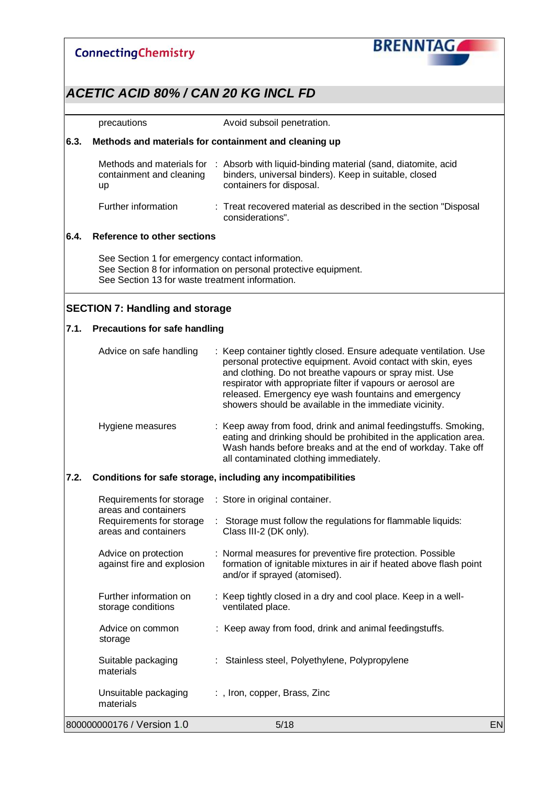

|      | precautions                                                                                         | Avoid subsoil penetration.                                                                                                                                                                                                                                                                                                                                                     |    |
|------|-----------------------------------------------------------------------------------------------------|--------------------------------------------------------------------------------------------------------------------------------------------------------------------------------------------------------------------------------------------------------------------------------------------------------------------------------------------------------------------------------|----|
| 6.3. |                                                                                                     | Methods and materials for containment and cleaning up                                                                                                                                                                                                                                                                                                                          |    |
|      | Methods and materials for<br>containment and cleaning<br>up                                         | : Absorb with liquid-binding material (sand, diatomite, acid<br>binders, universal binders). Keep in suitable, closed<br>containers for disposal.                                                                                                                                                                                                                              |    |
|      | Further information                                                                                 | : Treat recovered material as described in the section "Disposal<br>considerations".                                                                                                                                                                                                                                                                                           |    |
| 6.4. | <b>Reference to other sections</b>                                                                  |                                                                                                                                                                                                                                                                                                                                                                                |    |
|      | See Section 1 for emergency contact information.<br>See Section 13 for waste treatment information. | See Section 8 for information on personal protective equipment.                                                                                                                                                                                                                                                                                                                |    |
|      | <b>SECTION 7: Handling and storage</b>                                                              |                                                                                                                                                                                                                                                                                                                                                                                |    |
| 7.1. | <b>Precautions for safe handling</b>                                                                |                                                                                                                                                                                                                                                                                                                                                                                |    |
|      | Advice on safe handling                                                                             | : Keep container tightly closed. Ensure adequate ventilation. Use<br>personal protective equipment. Avoid contact with skin, eyes<br>and clothing. Do not breathe vapours or spray mist. Use<br>respirator with appropriate filter if vapours or aerosol are<br>released. Emergency eye wash fountains and emergency<br>showers should be available in the immediate vicinity. |    |
|      | Hygiene measures                                                                                    | : Keep away from food, drink and animal feedingstuffs. Smoking,<br>eating and drinking should be prohibited in the application area.<br>Wash hands before breaks and at the end of workday. Take off<br>all contaminated clothing immediately.                                                                                                                                 |    |
| 7.2. |                                                                                                     | Conditions for safe storage, including any incompatibilities                                                                                                                                                                                                                                                                                                                   |    |
|      | Requirements for storage                                                                            | : Store in original container.                                                                                                                                                                                                                                                                                                                                                 |    |
|      | areas and containers<br>Requirements for storage<br>areas and containers                            | Storage must follow the regulations for flammable liquids:<br>Class III-2 (DK only).                                                                                                                                                                                                                                                                                           |    |
|      | Advice on protection<br>against fire and explosion                                                  | : Normal measures for preventive fire protection. Possible<br>formation of ignitable mixtures in air if heated above flash point<br>and/or if sprayed (atomised).                                                                                                                                                                                                              |    |
|      | Further information on<br>storage conditions                                                        | : Keep tightly closed in a dry and cool place. Keep in a well-<br>ventilated place.                                                                                                                                                                                                                                                                                            |    |
|      | Advice on common<br>storage                                                                         | : Keep away from food, drink and animal feedingstuffs.                                                                                                                                                                                                                                                                                                                         |    |
|      | Suitable packaging<br>materials                                                                     | Stainless steel, Polyethylene, Polypropylene                                                                                                                                                                                                                                                                                                                                   |    |
|      | Unsuitable packaging<br>materials                                                                   | :, Iron, copper, Brass, Zinc                                                                                                                                                                                                                                                                                                                                                   |    |
|      | 800000000176 / Version 1.0                                                                          | 5/18                                                                                                                                                                                                                                                                                                                                                                           | EN |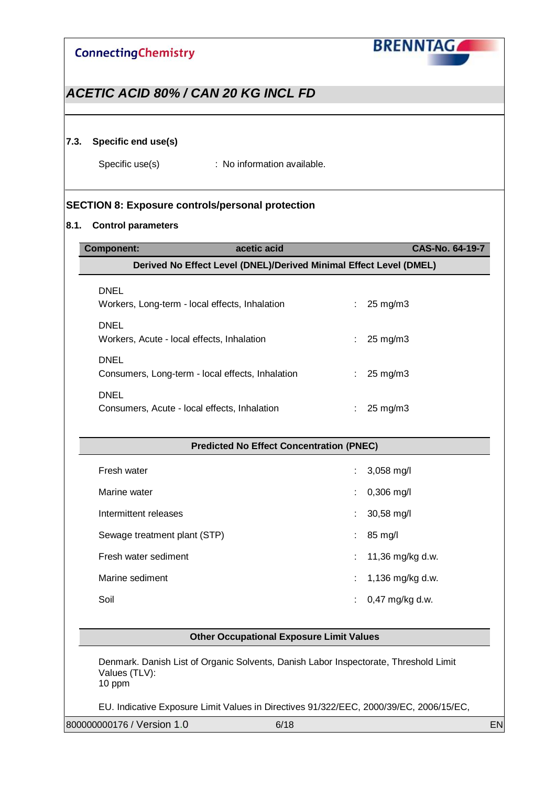

### *ACETIC ACID 80% / CAN 20 KG INCL FD*

#### **7.3. Specific end use(s)**

Specific use(s) : No information available.

#### **SECTION 8: Exposure controls/personal protection**

#### **8.1. Control parameters**

| <b>Component:</b>                            | acetic acid                                                        |    | CAS-No. 64-19-7        |  |  |  |
|----------------------------------------------|--------------------------------------------------------------------|----|------------------------|--|--|--|
|                                              | Derived No Effect Level (DNEL)/Derived Minimal Effect Level (DMEL) |    |                        |  |  |  |
| <b>DNEL</b>                                  |                                                                    |    |                        |  |  |  |
|                                              | Workers, Long-term - local effects, Inhalation                     |    | $25 \text{ mg/m}$      |  |  |  |
| <b>DNEL</b>                                  |                                                                    |    |                        |  |  |  |
| Workers, Acute - local effects, Inhalation   |                                                                    |    | $25 \text{ mg/m}$      |  |  |  |
| <b>DNEL</b>                                  |                                                                    |    |                        |  |  |  |
|                                              | Consumers, Long-term - local effects, Inhalation                   | ÷. | $25 \text{ mg/m}$ 3    |  |  |  |
| <b>DNEL</b>                                  |                                                                    |    |                        |  |  |  |
| Consumers, Acute - local effects, Inhalation |                                                                    |    | 25 mg/m3               |  |  |  |
|                                              |                                                                    |    |                        |  |  |  |
|                                              | <b>Predicted No Effect Concentration (PNEC)</b>                    |    |                        |  |  |  |
| Fresh water                                  |                                                                    |    | $3,058$ mg/l           |  |  |  |
| Marine water                                 |                                                                    |    | $0,306$ mg/l           |  |  |  |
| Intermittent releases                        |                                                                    |    | $30,58 \, \text{mg/l}$ |  |  |  |

Sewage treatment plant (STP)  $\qquad \qquad$  : 85 mg/l Fresh water sediment  $\cdot$  11,36 mg/kg d.w.

Marine sediment : 1,136 mg/kg d.w. Soil : 0,47 mg/kg d.w.

**Other Occupational Exposure Limit Values**

Denmark. Danish List of Organic Solvents, Danish Labor Inspectorate, Threshold Limit Values (TLV): 10 ppm

EU. Indicative Exposure Limit Values in Directives 91/322/EEC, 2000/39/EC, 2006/15/EC,

800000000176 / Version 1.0 6/18 EN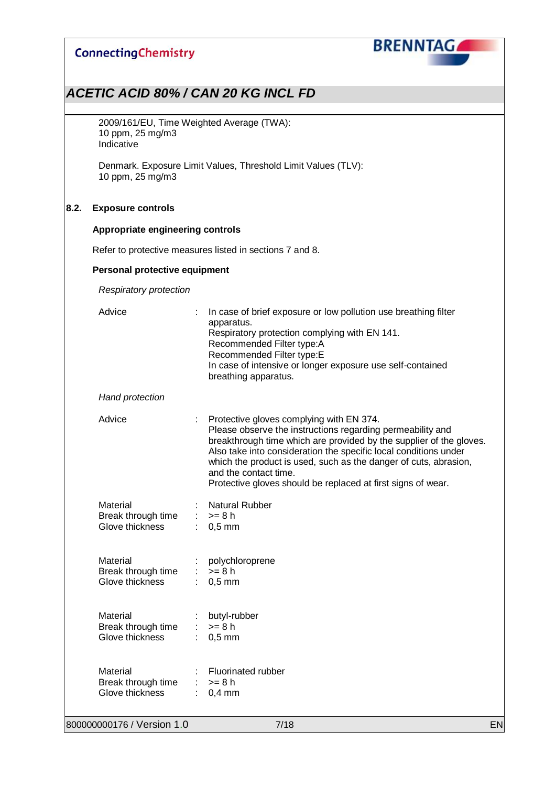

### *ACETIC ACID 80% / CAN 20 KG INCL FD*

2009/161/EU, Time Weighted Average (TWA): 10 ppm, 25 mg/m3 Indicative

Denmark. Exposure Limit Values, Threshold Limit Values (TLV): 10 ppm, 25 mg/m3

#### **8.2. Exposure controls**

#### **Appropriate engineering controls**

Refer to protective measures listed in sections 7 and 8.

#### **Personal protective equipment**

*Respiratory protection*

| 800000000176 / Version 1.0                        | 7/18                                                                                                                                                                                                                                                                                                                                                                                                           | EN |
|---------------------------------------------------|----------------------------------------------------------------------------------------------------------------------------------------------------------------------------------------------------------------------------------------------------------------------------------------------------------------------------------------------------------------------------------------------------------------|----|
| Material<br>Break through time<br>Glove thickness | Fluorinated rubber<br>$>= 8 h$<br>$0,4$ mm                                                                                                                                                                                                                                                                                                                                                                     |    |
| Material<br>Break through time<br>Glove thickness | butyl-rubber<br>$>= 8 h$<br>$0,5$ mm                                                                                                                                                                                                                                                                                                                                                                           |    |
| Material<br>Break through time<br>Glove thickness | polychloroprene<br>$>= 8 h$<br>$0,5$ mm                                                                                                                                                                                                                                                                                                                                                                        |    |
| Material<br>Break through time<br>Glove thickness | <b>Natural Rubber</b><br>$>= 8 h$<br>$0,5$ mm                                                                                                                                                                                                                                                                                                                                                                  |    |
| Advice                                            | Protective gloves complying with EN 374.<br>Please observe the instructions regarding permeability and<br>breakthrough time which are provided by the supplier of the gloves.<br>Also take into consideration the specific local conditions under<br>which the product is used, such as the danger of cuts, abrasion,<br>and the contact time.<br>Protective gloves should be replaced at first signs of wear. |    |
| Hand protection                                   |                                                                                                                                                                                                                                                                                                                                                                                                                |    |
| Advice                                            | In case of brief exposure or low pollution use breathing filter<br>apparatus.<br>Respiratory protection complying with EN 141.<br>Recommended Filter type:A<br>Recommended Filter type:E<br>In case of intensive or longer exposure use self-contained<br>breathing apparatus.                                                                                                                                 |    |
|                                                   |                                                                                                                                                                                                                                                                                                                                                                                                                |    |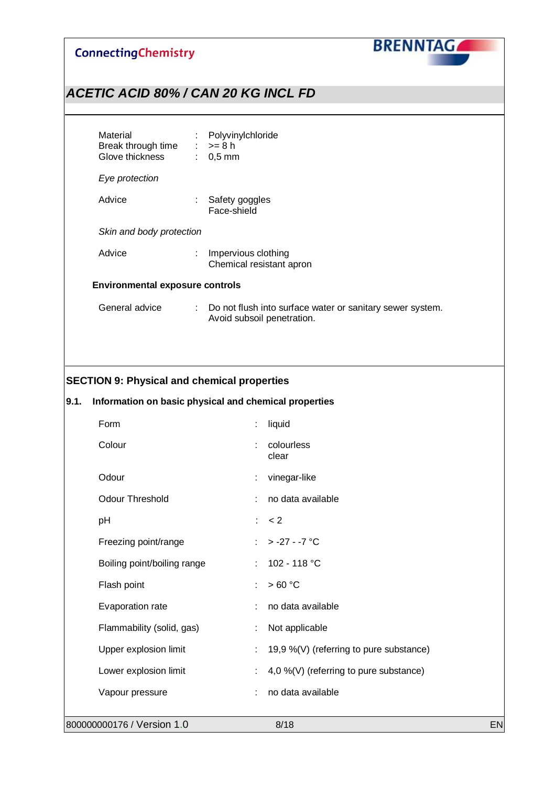

## *ACETIC ACID 80% / CAN 20 KG INCL FD*

| Material<br>Break through time $\therefore$ >= 8 h<br>Glove thickness | ÷                         | Polyvinylchloride<br>$: 0.5$ mm                                                         |  |  |
|-----------------------------------------------------------------------|---------------------------|-----------------------------------------------------------------------------------------|--|--|
| Eye protection                                                        |                           |                                                                                         |  |  |
| Advice                                                                | $\mathbb{Z}^{\mathbb{Z}}$ | Safety goggles<br>Face-shield                                                           |  |  |
| Skin and body protection                                              |                           |                                                                                         |  |  |
| Advice                                                                | ÷                         | Impervious clothing<br>Chemical resistant apron                                         |  |  |
| <b>Environmental exposure controls</b>                                |                           |                                                                                         |  |  |
| General advice                                                        | $\mathbb{Z}^{\mathbb{Z}}$ | Do not flush into surface water or sanitary sewer system.<br>Avoid subsoil penetration. |  |  |

#### **SECTION 9: Physical and chemical properties**

### **9.1. Information on basic physical and chemical properties**

| Form                        | t  | liquid                                  |    |
|-----------------------------|----|-----------------------------------------|----|
| Colour                      | ÷  | colourless<br>clear                     |    |
| Odour                       | t  | vinegar-like                            |    |
| <b>Odour Threshold</b>      | ÷  | no data available                       |    |
| pH                          | t. | < 2                                     |    |
| Freezing point/range        | ÷  | $> -27 - -7$ °C                         |    |
| Boiling point/boiling range | t. | 102 - 118 °C                            |    |
| Flash point                 | ÷  | >60 °C                                  |    |
| Evaporation rate            |    | no data available                       |    |
| Flammability (solid, gas)   |    | Not applicable                          |    |
| Upper explosion limit       | ÷  | 19,9 %(V) (referring to pure substance) |    |
| Lower explosion limit       | t  | 4,0 %(V) (referring to pure substance)  |    |
| Vapour pressure             |    | no data available                       |    |
|                             |    |                                         |    |
| 800000000176 / Version 1.0  |    | 8/18                                    | EN |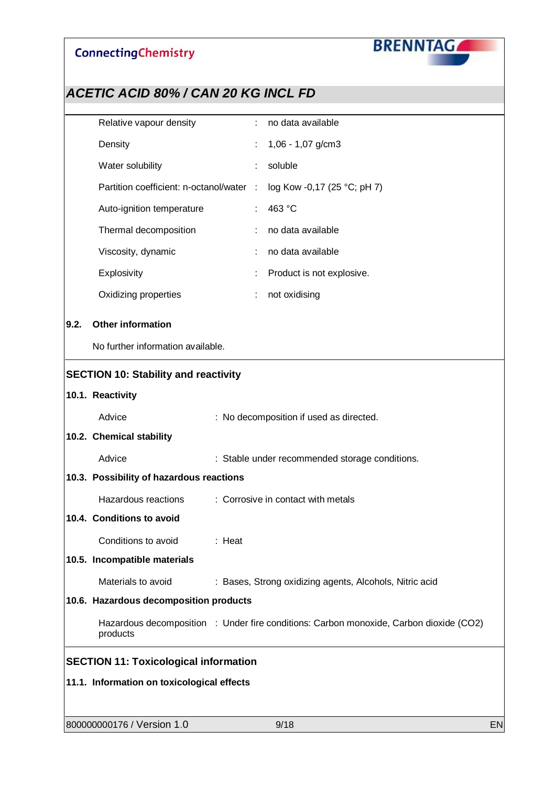

|      | Relative vapour density                      |        |        | no data available                                                                      |    |
|------|----------------------------------------------|--------|--------|----------------------------------------------------------------------------------------|----|
|      | Density                                      |        |        | 1,06 - 1,07 g/cm3                                                                      |    |
|      | Water solubility                             |        |        | soluble                                                                                |    |
|      | Partition coefficient: n-octanol/water       |        | $\sim$ | log Kow -0,17 (25 °C; pH 7)                                                            |    |
|      | Auto-ignition temperature                    |        |        | 463 °C                                                                                 |    |
|      | Thermal decomposition                        |        |        | no data available                                                                      |    |
|      | Viscosity, dynamic                           |        |        | no data available                                                                      |    |
|      | Explosivity                                  |        |        | Product is not explosive.                                                              |    |
|      | Oxidizing properties                         |        |        | not oxidising                                                                          |    |
| 9.2. | <b>Other information</b>                     |        |        |                                                                                        |    |
|      |                                              |        |        |                                                                                        |    |
|      | No further information available.            |        |        |                                                                                        |    |
|      | <b>SECTION 10: Stability and reactivity</b>  |        |        |                                                                                        |    |
|      | 10.1. Reactivity                             |        |        |                                                                                        |    |
|      | Advice                                       |        |        | : No decomposition if used as directed.                                                |    |
|      | 10.2. Chemical stability                     |        |        |                                                                                        |    |
|      | Advice                                       |        |        | : Stable under recommended storage conditions.                                         |    |
|      | 10.3. Possibility of hazardous reactions     |        |        |                                                                                        |    |
|      | Hazardous reactions                          |        |        | : Corrosive in contact with metals                                                     |    |
|      | 10.4. Conditions to avoid                    |        |        |                                                                                        |    |
|      | Conditions to avoid                          | : Heat |        |                                                                                        |    |
|      | 10.5. Incompatible materials                 |        |        |                                                                                        |    |
|      | Materials to avoid                           |        |        | : Bases, Strong oxidizing agents, Alcohols, Nitric acid                                |    |
|      | 10.6. Hazardous decomposition products       |        |        |                                                                                        |    |
|      | products                                     |        |        | Hazardous decomposition : Under fire conditions: Carbon monoxide, Carbon dioxide (CO2) |    |
|      | <b>SECTION 11: Toxicological information</b> |        |        |                                                                                        |    |
|      | 11.1. Information on toxicological effects   |        |        |                                                                                        |    |
|      |                                              |        |        |                                                                                        |    |
|      | 800000000176 / Version 1.0                   |        |        | 9/18                                                                                   | EN |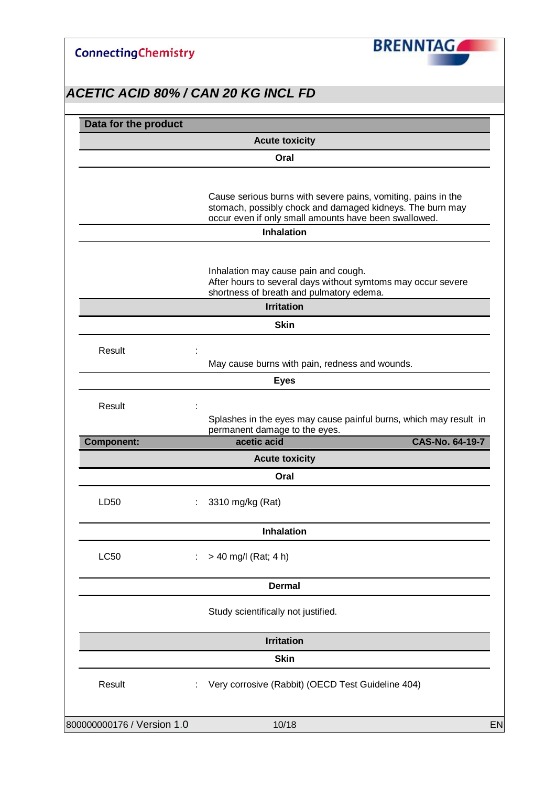**BRENNTAGA** 

| Data for the product       |                                                                                                                                                  |                 |
|----------------------------|--------------------------------------------------------------------------------------------------------------------------------------------------|-----------------|
|                            | <b>Acute toxicity</b>                                                                                                                            |                 |
|                            | Oral                                                                                                                                             |                 |
|                            | Cause serious burns with severe pains, vomiting, pains in the<br>stomach, possibly chock and damaged kidneys. The burn may                       |                 |
|                            | occur even if only small amounts have been swallowed.<br><b>Inhalation</b>                                                                       |                 |
|                            |                                                                                                                                                  |                 |
|                            | Inhalation may cause pain and cough.<br>After hours to several days without symtoms may occur severe<br>shortness of breath and pulmatory edema. |                 |
|                            | <b>Irritation</b>                                                                                                                                |                 |
|                            | <b>Skin</b>                                                                                                                                      |                 |
| Result                     | May cause burns with pain, redness and wounds.                                                                                                   |                 |
|                            | <b>Eyes</b>                                                                                                                                      |                 |
| Result                     | Splashes in the eyes may cause painful burns, which may result in                                                                                |                 |
| <b>Component:</b>          | permanent damage to the eyes.<br>acetic acid                                                                                                     | CAS-No. 64-19-7 |
|                            | <b>Acute toxicity</b>                                                                                                                            |                 |
|                            | Oral                                                                                                                                             |                 |
| LD50                       | 3310 mg/kg (Rat)                                                                                                                                 |                 |
|                            | Inhalation                                                                                                                                       |                 |
| <b>LC50</b>                | > 40 mg/l (Rat; 4 h)                                                                                                                             |                 |
|                            |                                                                                                                                                  |                 |
|                            | <b>Dermal</b>                                                                                                                                    |                 |
|                            | Study scientifically not justified.                                                                                                              |                 |
|                            | <b>Irritation</b>                                                                                                                                |                 |
|                            | <b>Skin</b>                                                                                                                                      |                 |
| Result                     | Very corrosive (Rabbit) (OECD Test Guideline 404)                                                                                                |                 |
| 800000000176 / Version 1.0 | 10/18                                                                                                                                            |                 |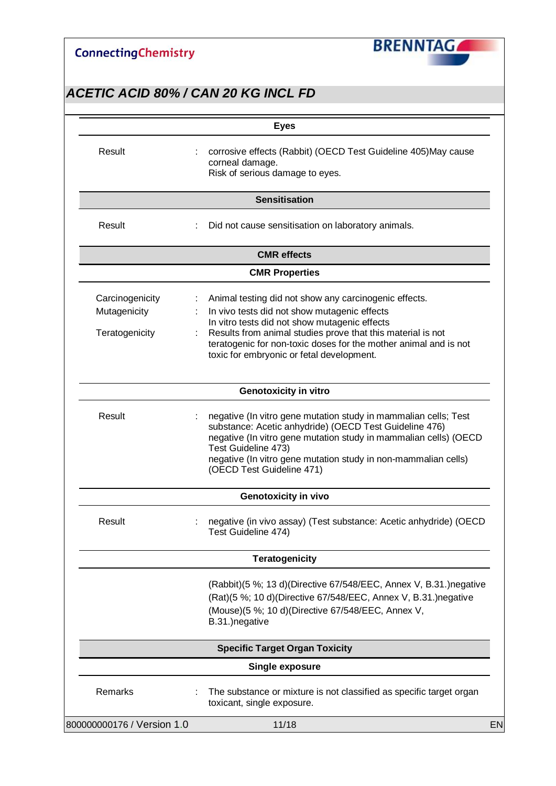

|                                                   | <b>Eyes</b>                                                                                                                                                                                                                                                                                                                                 |
|---------------------------------------------------|---------------------------------------------------------------------------------------------------------------------------------------------------------------------------------------------------------------------------------------------------------------------------------------------------------------------------------------------|
| Result                                            | corrosive effects (Rabbit) (OECD Test Guideline 405) May cause<br>corneal damage.<br>Risk of serious damage to eyes.                                                                                                                                                                                                                        |
|                                                   | <b>Sensitisation</b>                                                                                                                                                                                                                                                                                                                        |
| Result                                            | Did not cause sensitisation on laboratory animals.                                                                                                                                                                                                                                                                                          |
|                                                   | <b>CMR</b> effects                                                                                                                                                                                                                                                                                                                          |
|                                                   | <b>CMR Properties</b>                                                                                                                                                                                                                                                                                                                       |
| Carcinogenicity<br>Mutagenicity<br>Teratogenicity | Animal testing did not show any carcinogenic effects.<br>t<br>In vivo tests did not show mutagenic effects<br>In vitro tests did not show mutagenic effects<br>Results from animal studies prove that this material is not<br>teratogenic for non-toxic doses for the mother animal and is not<br>toxic for embryonic or fetal development. |
|                                                   | <b>Genotoxicity in vitro</b>                                                                                                                                                                                                                                                                                                                |
| Result                                            | negative (In vitro gene mutation study in mammalian cells; Test<br>substance: Acetic anhydride) (OECD Test Guideline 476)<br>negative (In vitro gene mutation study in mammalian cells) (OECD<br>Test Guideline 473)<br>negative (In vitro gene mutation study in non-mammalian cells)<br>(OECD Test Guideline 471)                         |
|                                                   | Genotoxicity in vivo                                                                                                                                                                                                                                                                                                                        |
| Result                                            | negative (in vivo assay) (Test substance: Acetic anhydride) (OECD<br>Test Guideline 474)                                                                                                                                                                                                                                                    |
|                                                   | <b>Teratogenicity</b>                                                                                                                                                                                                                                                                                                                       |
|                                                   | (Rabbit)(5 %; 13 d)(Directive 67/548/EEC, Annex V, B.31.) negative<br>(Rat)(5 %; 10 d)(Directive 67/548/EEC, Annex V, B.31.)negative<br>(Mouse)(5 %; 10 d)(Directive 67/548/EEC, Annex V,<br>B.31.) negative                                                                                                                                |
|                                                   | <b>Specific Target Organ Toxicity</b>                                                                                                                                                                                                                                                                                                       |
|                                                   | <b>Single exposure</b>                                                                                                                                                                                                                                                                                                                      |
| Remarks                                           | The substance or mixture is not classified as specific target organ<br>toxicant, single exposure.                                                                                                                                                                                                                                           |
| 800000000176 / Version 1.0                        | 11/18                                                                                                                                                                                                                                                                                                                                       |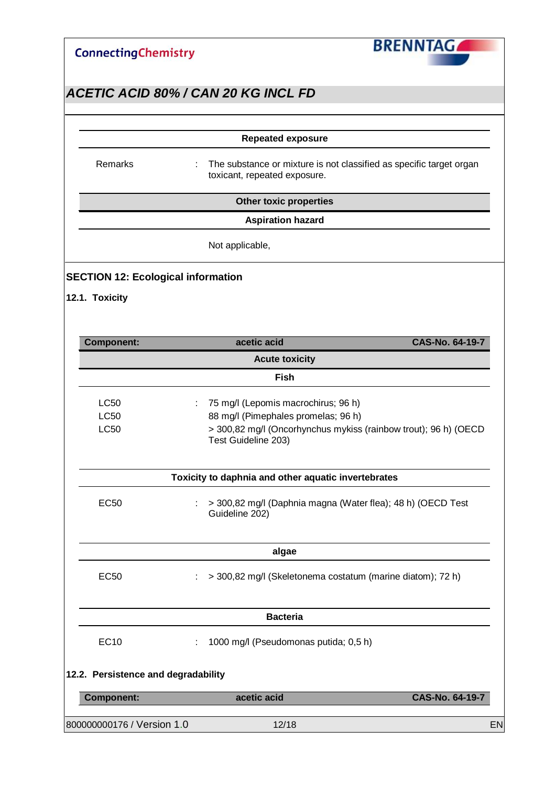| <b>ConnectingChemistry</b> |  |
|----------------------------|--|
|----------------------------|--|



|                                     | <b>Repeated exposure</b>                                                                                 |                 |
|-------------------------------------|----------------------------------------------------------------------------------------------------------|-----------------|
| Remarks                             | The substance or mixture is not classified as specific target organ<br>÷<br>toxicant, repeated exposure. |                 |
|                                     | <b>Other toxic properties</b>                                                                            |                 |
|                                     | <b>Aspiration hazard</b>                                                                                 |                 |
|                                     | Not applicable,                                                                                          |                 |
|                                     | <b>SECTION 12: Ecological information</b>                                                                |                 |
| 12.1. Toxicity                      |                                                                                                          |                 |
|                                     |                                                                                                          |                 |
| <b>Component:</b>                   | acetic acid                                                                                              | CAS-No. 64-19-7 |
|                                     | <b>Acute toxicity</b>                                                                                    |                 |
|                                     | <b>Fish</b>                                                                                              |                 |
| <b>LC50</b>                         | 75 mg/l (Lepomis macrochirus; 96 h)                                                                      |                 |
| <b>LC50</b>                         | 88 mg/l (Pimephales promelas; 96 h)                                                                      |                 |
| <b>LC50</b>                         | > 300,82 mg/l (Oncorhynchus mykiss (rainbow trout); 96 h) (OECD<br>Test Guideline 203)                   |                 |
|                                     | Toxicity to daphnia and other aquatic invertebrates                                                      |                 |
| <b>EC50</b>                         | > 300,82 mg/l (Daphnia magna (Water flea); 48 h) (OECD Test<br>Guideline 202)                            |                 |
|                                     | algae                                                                                                    |                 |
| <b>EC50</b>                         | > 300,82 mg/l (Skeletonema costatum (marine diatom); 72 h)                                               |                 |
|                                     | <b>Bacteria</b>                                                                                          |                 |
| <b>EC10</b>                         | 1000 mg/l (Pseudomonas putida; 0,5 h)                                                                    |                 |
| 12.2. Persistence and degradability |                                                                                                          |                 |
| <b>Component:</b>                   | acetic acid                                                                                              | CAS-No. 64-19-7 |
|                                     |                                                                                                          |                 |
| 800000000176 / Version 1.0          | 12/18                                                                                                    |                 |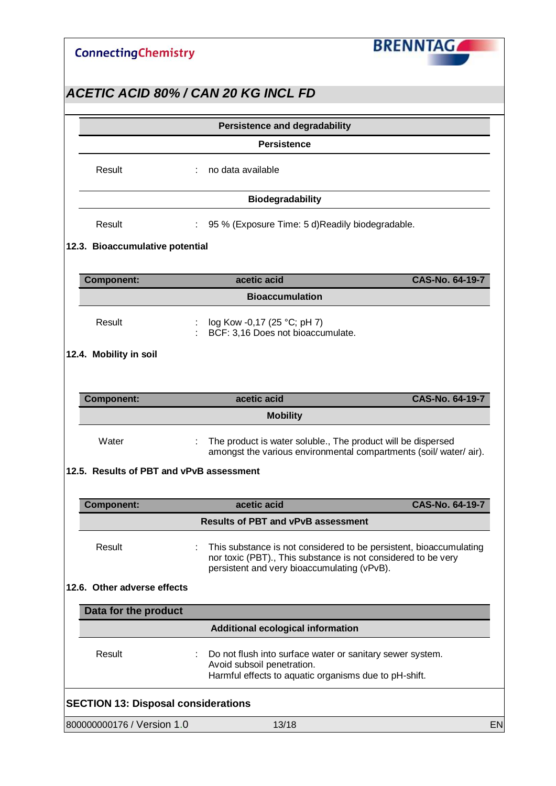

| <b>Persistence</b><br>no data available<br>Result<br><b>Biodegradability</b><br>Result<br>95 % (Exposure Time: 5 d) Readily biodegradable.<br>12.3. Bioaccumulative potential<br>acetic acid<br>CAS-No. 64-19-7<br><b>Component:</b><br><b>Bioaccumulation</b><br>Result<br>log Kow -0,17 (25 °C; pH 7)<br>BCF: 3,16 Does not bioaccumulate.<br>12.4. Mobility in soil<br>acetic acid<br><b>CAS-No. 64-19-7</b><br><b>Component:</b><br><b>Mobility</b><br>Water<br>The product is water soluble., The product will be dispersed<br>amongst the various environmental compartments (soil/ water/ air).<br>12.5. Results of PBT and vPvB assessment<br>acetic acid<br><b>CAS-No. 64-19-7</b><br><b>Component:</b><br><b>Results of PBT and vPvB assessment</b><br>Result<br>This substance is not considered to be persistent, bioaccumulating<br>nor toxic (PBT)., This substance is not considered to be very<br>persistent and very bioaccumulating (vPvB).<br>12.6. Other adverse effects<br>Data for the product<br><b>Additional ecological information</b><br>Result<br>Do not flush into surface water or sanitary sewer system.<br>Avoid subsoil penetration.<br>Harmful effects to aquatic organisms due to pH-shift.<br><b>SECTION 13: Disposal considerations</b> |  | <b>Persistence and degradability</b> |    |
|------------------------------------------------------------------------------------------------------------------------------------------------------------------------------------------------------------------------------------------------------------------------------------------------------------------------------------------------------------------------------------------------------------------------------------------------------------------------------------------------------------------------------------------------------------------------------------------------------------------------------------------------------------------------------------------------------------------------------------------------------------------------------------------------------------------------------------------------------------------------------------------------------------------------------------------------------------------------------------------------------------------------------------------------------------------------------------------------------------------------------------------------------------------------------------------------------------------------------------------------------------------------------|--|--------------------------------------|----|
|                                                                                                                                                                                                                                                                                                                                                                                                                                                                                                                                                                                                                                                                                                                                                                                                                                                                                                                                                                                                                                                                                                                                                                                                                                                                              |  |                                      |    |
|                                                                                                                                                                                                                                                                                                                                                                                                                                                                                                                                                                                                                                                                                                                                                                                                                                                                                                                                                                                                                                                                                                                                                                                                                                                                              |  |                                      |    |
|                                                                                                                                                                                                                                                                                                                                                                                                                                                                                                                                                                                                                                                                                                                                                                                                                                                                                                                                                                                                                                                                                                                                                                                                                                                                              |  |                                      |    |
|                                                                                                                                                                                                                                                                                                                                                                                                                                                                                                                                                                                                                                                                                                                                                                                                                                                                                                                                                                                                                                                                                                                                                                                                                                                                              |  |                                      |    |
|                                                                                                                                                                                                                                                                                                                                                                                                                                                                                                                                                                                                                                                                                                                                                                                                                                                                                                                                                                                                                                                                                                                                                                                                                                                                              |  |                                      |    |
|                                                                                                                                                                                                                                                                                                                                                                                                                                                                                                                                                                                                                                                                                                                                                                                                                                                                                                                                                                                                                                                                                                                                                                                                                                                                              |  |                                      |    |
|                                                                                                                                                                                                                                                                                                                                                                                                                                                                                                                                                                                                                                                                                                                                                                                                                                                                                                                                                                                                                                                                                                                                                                                                                                                                              |  |                                      |    |
|                                                                                                                                                                                                                                                                                                                                                                                                                                                                                                                                                                                                                                                                                                                                                                                                                                                                                                                                                                                                                                                                                                                                                                                                                                                                              |  |                                      |    |
|                                                                                                                                                                                                                                                                                                                                                                                                                                                                                                                                                                                                                                                                                                                                                                                                                                                                                                                                                                                                                                                                                                                                                                                                                                                                              |  |                                      |    |
|                                                                                                                                                                                                                                                                                                                                                                                                                                                                                                                                                                                                                                                                                                                                                                                                                                                                                                                                                                                                                                                                                                                                                                                                                                                                              |  |                                      |    |
|                                                                                                                                                                                                                                                                                                                                                                                                                                                                                                                                                                                                                                                                                                                                                                                                                                                                                                                                                                                                                                                                                                                                                                                                                                                                              |  |                                      |    |
|                                                                                                                                                                                                                                                                                                                                                                                                                                                                                                                                                                                                                                                                                                                                                                                                                                                                                                                                                                                                                                                                                                                                                                                                                                                                              |  |                                      |    |
|                                                                                                                                                                                                                                                                                                                                                                                                                                                                                                                                                                                                                                                                                                                                                                                                                                                                                                                                                                                                                                                                                                                                                                                                                                                                              |  |                                      |    |
|                                                                                                                                                                                                                                                                                                                                                                                                                                                                                                                                                                                                                                                                                                                                                                                                                                                                                                                                                                                                                                                                                                                                                                                                                                                                              |  |                                      |    |
|                                                                                                                                                                                                                                                                                                                                                                                                                                                                                                                                                                                                                                                                                                                                                                                                                                                                                                                                                                                                                                                                                                                                                                                                                                                                              |  |                                      |    |
|                                                                                                                                                                                                                                                                                                                                                                                                                                                                                                                                                                                                                                                                                                                                                                                                                                                                                                                                                                                                                                                                                                                                                                                                                                                                              |  |                                      |    |
|                                                                                                                                                                                                                                                                                                                                                                                                                                                                                                                                                                                                                                                                                                                                                                                                                                                                                                                                                                                                                                                                                                                                                                                                                                                                              |  |                                      |    |
|                                                                                                                                                                                                                                                                                                                                                                                                                                                                                                                                                                                                                                                                                                                                                                                                                                                                                                                                                                                                                                                                                                                                                                                                                                                                              |  |                                      |    |
|                                                                                                                                                                                                                                                                                                                                                                                                                                                                                                                                                                                                                                                                                                                                                                                                                                                                                                                                                                                                                                                                                                                                                                                                                                                                              |  |                                      |    |
|                                                                                                                                                                                                                                                                                                                                                                                                                                                                                                                                                                                                                                                                                                                                                                                                                                                                                                                                                                                                                                                                                                                                                                                                                                                                              |  |                                      |    |
|                                                                                                                                                                                                                                                                                                                                                                                                                                                                                                                                                                                                                                                                                                                                                                                                                                                                                                                                                                                                                                                                                                                                                                                                                                                                              |  |                                      |    |
|                                                                                                                                                                                                                                                                                                                                                                                                                                                                                                                                                                                                                                                                                                                                                                                                                                                                                                                                                                                                                                                                                                                                                                                                                                                                              |  |                                      |    |
|                                                                                                                                                                                                                                                                                                                                                                                                                                                                                                                                                                                                                                                                                                                                                                                                                                                                                                                                                                                                                                                                                                                                                                                                                                                                              |  |                                      |    |
|                                                                                                                                                                                                                                                                                                                                                                                                                                                                                                                                                                                                                                                                                                                                                                                                                                                                                                                                                                                                                                                                                                                                                                                                                                                                              |  |                                      |    |
| 800000000176 / Version 1.0<br>13/18                                                                                                                                                                                                                                                                                                                                                                                                                                                                                                                                                                                                                                                                                                                                                                                                                                                                                                                                                                                                                                                                                                                                                                                                                                          |  |                                      | EN |

**BRENNTAGA**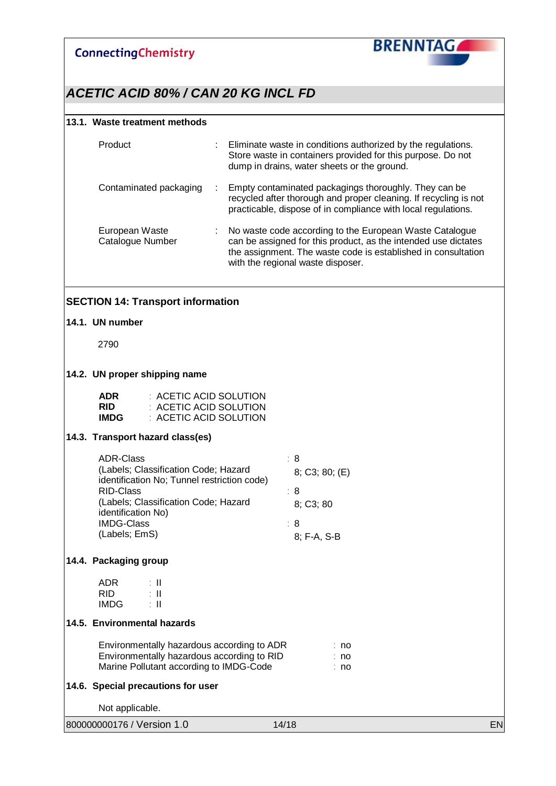

### *ACETIC ACID 80% / CAN 20 KG INCL FD*

#### **13.1. Waste treatment methods**

| Product                            | t. | Eliminate waste in conditions authorized by the regulations.<br>Store waste in containers provided for this purpose. Do not<br>dump in drains, water sheets or the ground.                                                      |
|------------------------------------|----|---------------------------------------------------------------------------------------------------------------------------------------------------------------------------------------------------------------------------------|
| Contaminated packaging             | ÷  | Empty contaminated packagings thoroughly. They can be<br>recycled after thorough and proper cleaning. If recycling is not<br>practicable, dispose of in compliance with local regulations.                                      |
| European Waste<br>Catalogue Number | t. | No waste code according to the European Waste Catalogue<br>can be assigned for this product, as the intended use dictates<br>the assignment. The waste code is established in consultation<br>with the regional waste disposer. |

#### **SECTION 14: Transport information**

#### **14.1. UN number**

2790

#### **14.2. UN proper shipping name**

| <b>ADR</b>  | : ACETIC ACID SOLUTION |
|-------------|------------------------|
| <b>RID</b>  | : ACETIC ACID SOLUTION |
| <b>IMDG</b> | : ACETIC ACID SOLUTION |

#### **14.3. Transport hazard class(es)**

| <b>ADR-Class</b><br>(Labels; Classification Code; Hazard<br>identification No; Tunnel restriction code) | : 8<br>8; C3; 80; (E) |
|---------------------------------------------------------------------------------------------------------|-----------------------|
| RID-Class<br>(Labels; Classification Code; Hazard                                                       | : 8<br>8; C3; 80      |
| identification No)<br><b>IMDG-Class</b>                                                                 | : 8                   |
| (Labels; EmS)                                                                                           | 8: F-A, S-B           |

#### **14.4. Packaging group**

| ADR  | $\sim$ | Ш |
|------|--------|---|
| RID  |        | Ш |
| IMDG |        | Ш |

#### **14.5. Environmental hazards**

| Environmentally hazardous according to ADR | ∶no |
|--------------------------------------------|-----|
| Environmentally hazardous according to RID | ∶no |
| Marine Pollutant according to IMDG-Code    | ∶no |

#### **14.6. Special precautions for user**

Not applicable.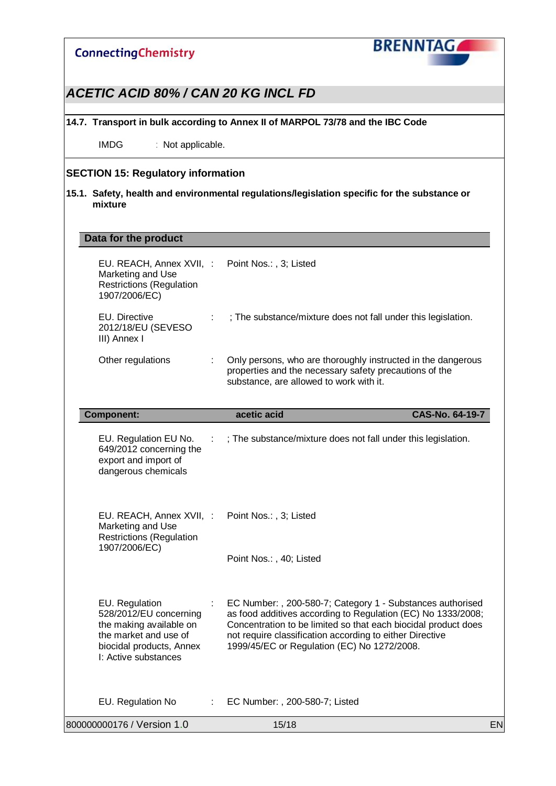

### *ACETIC ACID 80% / CAN 20 KG INCL FD*

**14.7. Transport in bulk according to Annex II of MARPOL 73/78 and the IBC Code**

IMDG : Not applicable.

#### **SECTION 15: Regulatory information**

**15.1. Safety, health and environmental regulations/legislation specific for the substance or mixture**

#### **Data for the product**

| EU. REACH, Annex XVII, : Point Nos.:, 3; Listed<br>Marketing and Use<br><b>Restrictions (Regulation</b><br>1907/2006/EC)                         |    |                                                                                                                                                                                                                                                                                                         |    |
|--------------------------------------------------------------------------------------------------------------------------------------------------|----|---------------------------------------------------------------------------------------------------------------------------------------------------------------------------------------------------------------------------------------------------------------------------------------------------------|----|
| EU. Directive<br>2012/18/EU (SEVESO<br>III) Annex I                                                                                              |    | ; The substance/mixture does not fall under this legislation.                                                                                                                                                                                                                                           |    |
| Other regulations                                                                                                                                | ÷  | Only persons, who are thoroughly instructed in the dangerous<br>properties and the necessary safety precautions of the<br>substance, are allowed to work with it.                                                                                                                                       |    |
| <b>Component:</b>                                                                                                                                |    | acetic acid<br>CAS-No. 64-19-7                                                                                                                                                                                                                                                                          |    |
| EU. Regulation EU No.<br>649/2012 concerning the<br>export and import of<br>dangerous chemicals                                                  |    | ; The substance/mixture does not fall under this legislation.                                                                                                                                                                                                                                           |    |
| EU. REACH, Annex XVII, :<br>Marketing and Use<br><b>Restrictions (Regulation</b>                                                                 |    | Point Nos.:, 3; Listed                                                                                                                                                                                                                                                                                  |    |
| 1907/2006/EC)                                                                                                                                    |    | Point Nos.:, 40; Listed                                                                                                                                                                                                                                                                                 |    |
| EU. Regulation<br>528/2012/EU concerning<br>the making available on<br>the market and use of<br>biocidal products, Annex<br>I: Active substances |    | EC Number: , 200-580-7; Category 1 - Substances authorised<br>as food additives according to Regulation (EC) No 1333/2008;<br>Concentration to be limited so that each biocidal product does<br>not require classification according to either Directive<br>1999/45/EC or Regulation (EC) No 1272/2008. |    |
| EU. Regulation No                                                                                                                                | ÷. | EC Number: , 200-580-7; Listed                                                                                                                                                                                                                                                                          |    |
| 800000000176 / Version 1.0                                                                                                                       |    | 15/18                                                                                                                                                                                                                                                                                                   | EN |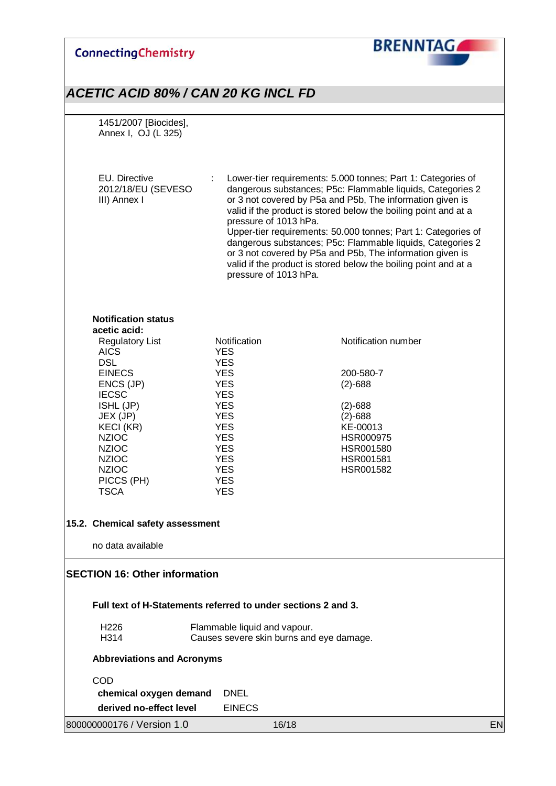### **BRENNTAG ConnectingChemistry** *ACETIC ACID 80% / CAN 20 KG INCL FD* 1451/2007 [Biocides], Annex I, OJ (L 325) EU. Directive : Lower-tier requirements: 5.000 tonnes; Part 1: Categories of 2012/18/EU (SEVESO dangerous substances; P5c: Flammable liquids, Categories 2 III) Annex I or 3 not covered by P5a and P5b, The information given is valid if the product is stored below the boiling point and at a pressure of 1013 hPa. Upper-tier requirements: 50.000 tonnes; Part 1: Categories of dangerous substances; P5c: Flammable liquids, Categories 2 or 3 not covered by P5a and P5b, The information given is valid if the product is stored below the boiling point and at a pressure of 1013 hPa. **Notification status acetic acid:** Regulatory List **Notification**<br>AICS YES YES **AICS** DSL YES<br>EINECS YES YES 200-580-7<br>
YES (2)-688 ENCS (JP)  $YES$  (2)-688<br>IECSC  $YES$ **IECSC** ISHL (JP) YES (2)-688 JEX (JP) YES<br>KECI (KR) YES KECI (KR) YES KE-00013 NZIOC YES HSR000975 NZIOC YES HSR001580 NZIOC YES HSR001581 NZIOC YES HSR001582 PICCS (PH) YES TSCA YES **15.2. Chemical safety assessment** no data available **SECTION 16: Other information Full text of H-Statements referred to under sections 2 and 3.** H226 Flammable liquid and vapour.<br>H314 **Causes severe skin burns and** Causes severe skin burns and eye damage. **Abbreviations and Acronyms** COD **chemical oxygen demand** DNEL **derived no-effect level EINECS** 800000000176 / Version 1.0 16/18 EN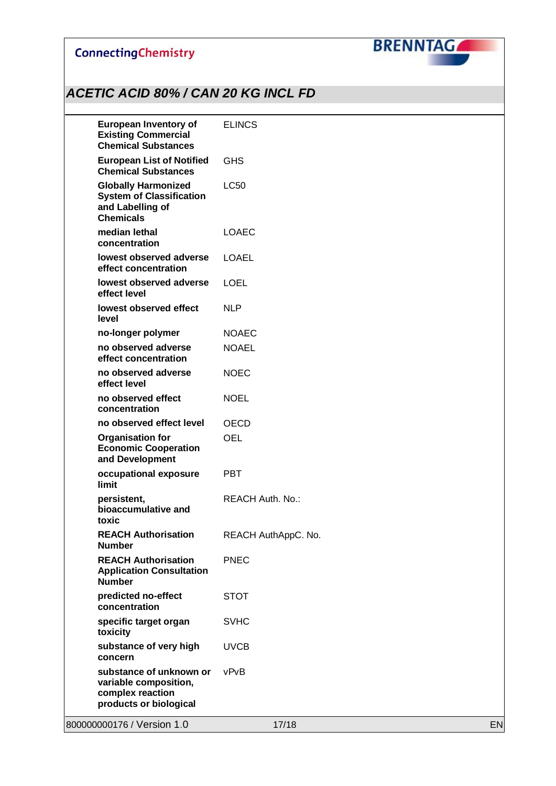

| <b>European Inventory of</b><br><b>Existing Commercial</b><br><b>Chemical Substances</b>              | <b>ELINCS</b>           |    |
|-------------------------------------------------------------------------------------------------------|-------------------------|----|
| <b>European List of Notified</b><br><b>Chemical Substances</b>                                        | <b>GHS</b>              |    |
| <b>Globally Harmonized</b><br><b>System of Classification</b><br>and Labelling of<br><b>Chemicals</b> | <b>LC50</b>             |    |
| median lethal<br>concentration                                                                        | <b>LOAEC</b>            |    |
| lowest observed adverse<br>effect concentration                                                       | <b>LOAEL</b>            |    |
| lowest observed adverse<br>effect level                                                               | <b>LOEL</b>             |    |
| lowest observed effect<br>level                                                                       | <b>NLP</b>              |    |
| no-longer polymer                                                                                     | <b>NOAEC</b>            |    |
| no observed adverse<br>effect concentration                                                           | <b>NOAEL</b>            |    |
| no observed adverse<br>effect level                                                                   | <b>NOEC</b>             |    |
| no observed effect<br>concentration                                                                   | <b>NOEL</b>             |    |
| no observed effect level                                                                              | <b>OECD</b>             |    |
| <b>Organisation for</b><br><b>Economic Cooperation</b><br>and Development                             | <b>OEL</b>              |    |
| occupational exposure<br>limit                                                                        | <b>PBT</b>              |    |
| persistent,<br>bioaccumulative and<br>toxic                                                           | <b>REACH Auth. No.:</b> |    |
| <b>REACH Authorisation</b><br><b>Number</b>                                                           | REACH AuthAppC. No.     |    |
| <b>REACH Authorisation</b><br><b>Application Consultation</b><br><b>Number</b>                        | <b>PNEC</b>             |    |
| predicted no-effect<br>concentration                                                                  | <b>STOT</b>             |    |
| specific target organ<br>toxicity                                                                     | <b>SVHC</b>             |    |
| substance of very high<br>concern                                                                     | <b>UVCB</b>             |    |
| substance of unknown or<br>variable composition,<br>complex reaction<br>products or biological        | vPvB                    |    |
| 800000000176 / Version 1.0                                                                            | 17/18                   | EN |